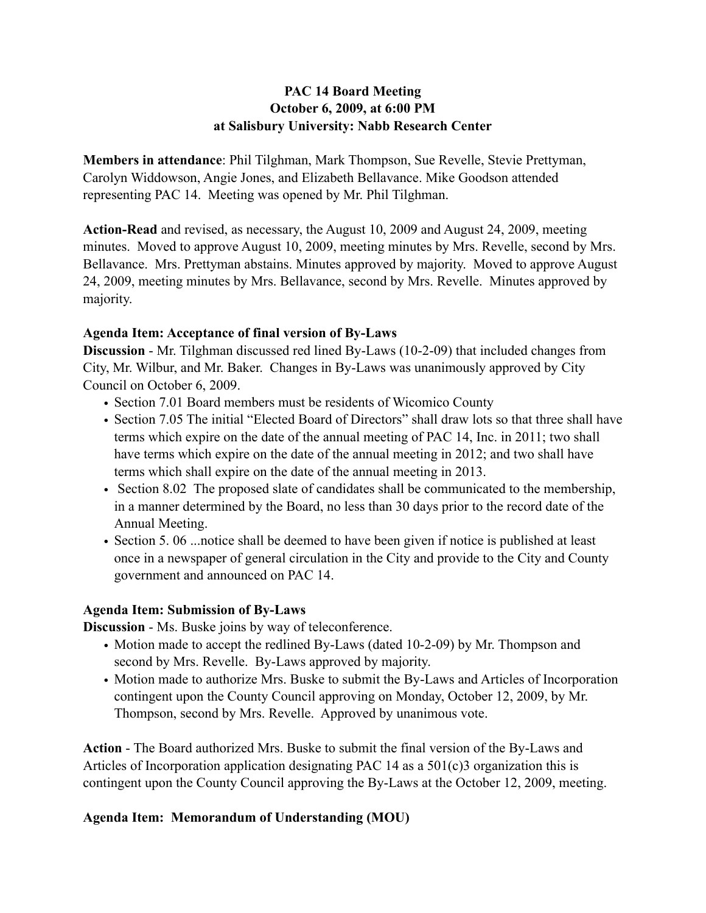# **PAC 14 Board Meeting October 6, 2009, at 6:00 PM at Salisbury University: Nabb Research Center**

**Members in attendance**: Phil Tilghman, Mark Thompson, Sue Revelle, Stevie Prettyman, Carolyn Widdowson, Angie Jones, and Elizabeth Bellavance. Mike Goodson attended representing PAC 14. Meeting was opened by Mr. Phil Tilghman.

**Action-Read** and revised, as necessary, the August 10, 2009 and August 24, 2009, meeting minutes. Moved to approve August 10, 2009, meeting minutes by Mrs. Revelle, second by Mrs. Bellavance. Mrs. Prettyman abstains. Minutes approved by majority. Moved to approve August 24, 2009, meeting minutes by Mrs. Bellavance, second by Mrs. Revelle. Minutes approved by majority.

### **Agenda Item: Acceptance of final version of By-Laws**

**Discussion** - Mr. Tilghman discussed red lined By-Laws (10-2-09) that included changes from City, Mr. Wilbur, and Mr. Baker. Changes in By-Laws was unanimously approved by City Council on October 6, 2009.

- Section 7.01 Board members must be residents of Wicomico County
- Section 7.05 The initial "Elected Board of Directors" shall draw lots so that three shall have terms which expire on the date of the annual meeting of PAC 14, Inc. in 2011; two shall have terms which expire on the date of the annual meeting in 2012; and two shall have terms which shall expire on the date of the annual meeting in 2013.
- Section 8.02 The proposed slate of candidates shall be communicated to the membership, in a manner determined by the Board, no less than 30 days prior to the record date of the Annual Meeting.
- Section 5. 06 ...notice shall be deemed to have been given if notice is published at least once in a newspaper of general circulation in the City and provide to the City and County government and announced on PAC 14.

### **Agenda Item: Submission of By-Laws**

**Discussion** - Ms. Buske joins by way of teleconference.

- Motion made to accept the redlined By-Laws (dated 10-2-09) by Mr. Thompson and second by Mrs. Revelle. By-Laws approved by majority.
- Motion made to authorize Mrs. Buske to submit the By-Laws and Articles of Incorporation contingent upon the County Council approving on Monday, October 12, 2009, by Mr. Thompson, second by Mrs. Revelle. Approved by unanimous vote.

**Action** - The Board authorized Mrs. Buske to submit the final version of the By-Laws and Articles of Incorporation application designating PAC 14 as a 501(c)3 organization this is contingent upon the County Council approving the By-Laws at the October 12, 2009, meeting.

# **Agenda Item: Memorandum of Understanding (MOU)**